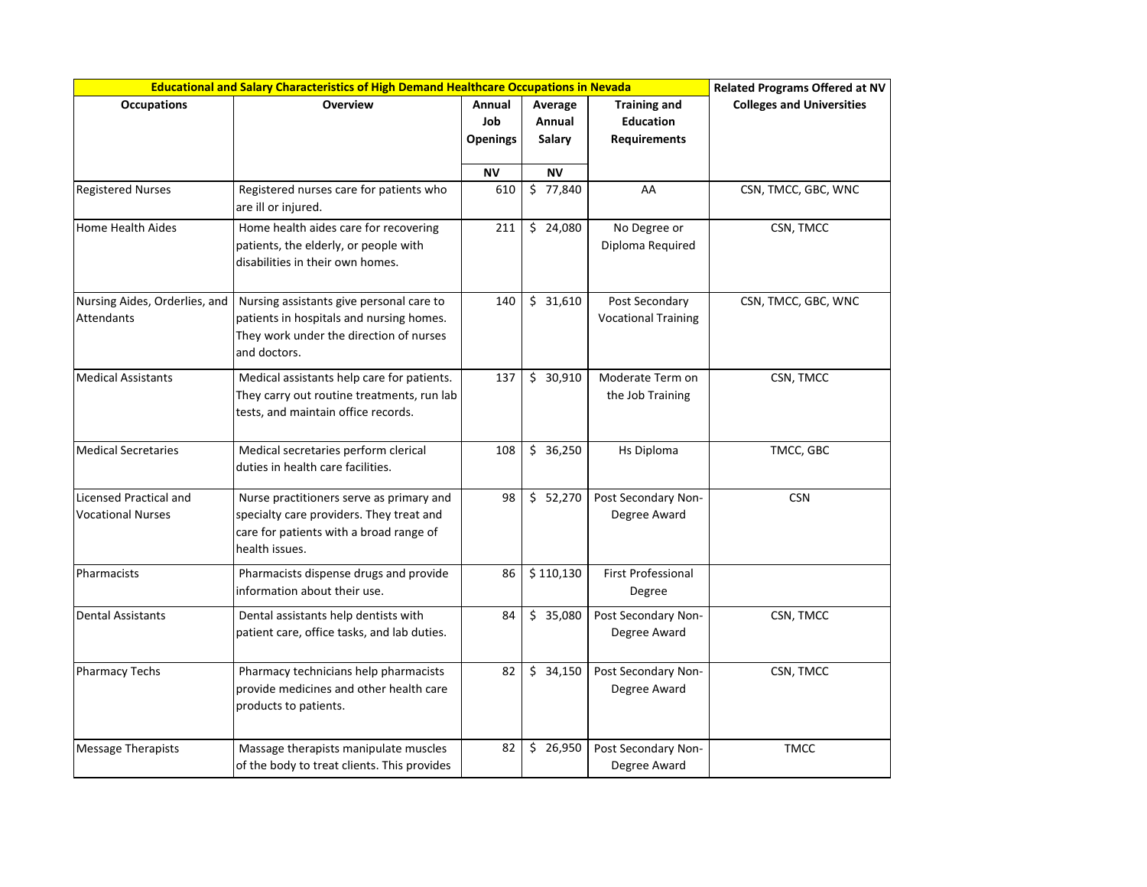| Educational and Salary Characteristics of High Demand Healthcare Occupations in Nevada | <b>Related Programs Offered at NV</b>                                                                                                             |                                  |                             |                                                                |                                  |
|----------------------------------------------------------------------------------------|---------------------------------------------------------------------------------------------------------------------------------------------------|----------------------------------|-----------------------------|----------------------------------------------------------------|----------------------------------|
| <b>Occupations</b>                                                                     | <b>Overview</b>                                                                                                                                   | Annual<br>Job<br><b>Openings</b> | Average<br>Annual<br>Salary | <b>Training and</b><br><b>Education</b><br><b>Requirements</b> | <b>Colleges and Universities</b> |
|                                                                                        |                                                                                                                                                   | ΝV                               | ΝV                          |                                                                |                                  |
| <b>Registered Nurses</b>                                                               | Registered nurses care for patients who<br>are ill or injured.                                                                                    | 610                              | \$77,840                    | AA                                                             | CSN, TMCC, GBC, WNC              |
| Home Health Aides                                                                      | Home health aides care for recovering<br>patients, the elderly, or people with<br>disabilities in their own homes.                                | 211                              | \$24,080                    | No Degree or<br>Diploma Required                               | CSN, TMCC                        |
| Nursing Aides, Orderlies, and<br>Attendants                                            | Nursing assistants give personal care to<br>patients in hospitals and nursing homes.<br>They work under the direction of nurses<br>and doctors.   | 140                              | \$31,610                    | Post Secondary<br><b>Vocational Training</b>                   | CSN, TMCC, GBC, WNC              |
| <b>Medical Assistants</b>                                                              | Medical assistants help care for patients.<br>They carry out routine treatments, run lab<br>tests, and maintain office records.                   | 137                              | \$30,910                    | Moderate Term on<br>the Job Training                           | CSN, TMCC                        |
| <b>Medical Secretaries</b>                                                             | Medical secretaries perform clerical<br>duties in health care facilities.                                                                         | 108                              | \$36,250                    | Hs Diploma                                                     | TMCC, GBC                        |
| <b>Licensed Practical and</b><br><b>Vocational Nurses</b>                              | Nurse practitioners serve as primary and<br>specialty care providers. They treat and<br>care for patients with a broad range of<br>health issues. | 98                               | \$52,270                    | Post Secondary Non-<br>Degree Award                            | <b>CSN</b>                       |
| Pharmacists                                                                            | Pharmacists dispense drugs and provide<br>information about their use.                                                                            | 86                               | \$110,130                   | <b>First Professional</b><br>Degree                            |                                  |
| <b>Dental Assistants</b>                                                               | Dental assistants help dentists with<br>patient care, office tasks, and lab duties.                                                               | 84                               | \$35,080                    | Post Secondary Non-<br>Degree Award                            | CSN, TMCC                        |
| <b>Pharmacy Techs</b>                                                                  | Pharmacy technicians help pharmacists<br>provide medicines and other health care<br>products to patients.                                         | 82                               | \$34,150                    | Post Secondary Non-<br>Degree Award                            | CSN, TMCC                        |
| <b>Message Therapists</b>                                                              | Massage therapists manipulate muscles<br>of the body to treat clients. This provides                                                              | 82                               | \$26,950                    | Post Secondary Non-<br>Degree Award                            | <b>TMCC</b>                      |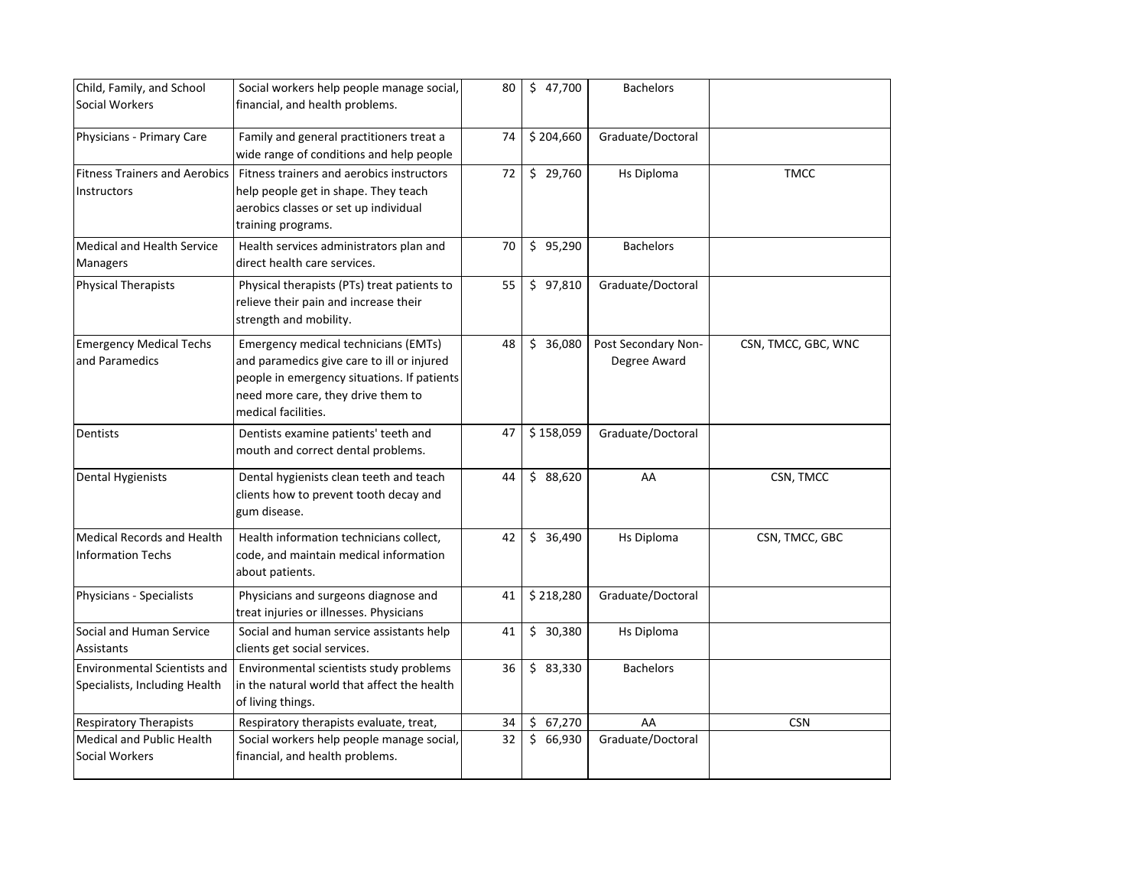| Child, Family, and School            | Social workers help people manage social,   | 80 | \$47,700  | <b>Bachelors</b>    |                     |
|--------------------------------------|---------------------------------------------|----|-----------|---------------------|---------------------|
| Social Workers                       | financial, and health problems.             |    |           |                     |                     |
|                                      |                                             |    |           |                     |                     |
| Physicians - Primary Care            | Family and general practitioners treat a    | 74 | \$204,660 | Graduate/Doctoral   |                     |
|                                      | wide range of conditions and help people    |    |           |                     |                     |
| <b>Fitness Trainers and Aerobics</b> | Fitness trainers and aerobics instructors   | 72 | \$29,760  | Hs Diploma          | <b>TMCC</b>         |
| Instructors                          | help people get in shape. They teach        |    |           |                     |                     |
|                                      | aerobics classes or set up individual       |    |           |                     |                     |
|                                      | training programs.                          |    |           |                     |                     |
| <b>Medical and Health Service</b>    | Health services administrators plan and     | 70 | \$95,290  | <b>Bachelors</b>    |                     |
| <b>Managers</b>                      | direct health care services.                |    |           |                     |                     |
| <b>Physical Therapists</b>           | Physical therapists (PTs) treat patients to | 55 | \$97,810  | Graduate/Doctoral   |                     |
|                                      | relieve their pain and increase their       |    |           |                     |                     |
|                                      | strength and mobility.                      |    |           |                     |                     |
| <b>Emergency Medical Techs</b>       | Emergency medical technicians (EMTs)        | 48 | \$36,080  | Post Secondary Non- | CSN, TMCC, GBC, WNC |
| and Paramedics                       | and paramedics give care to ill or injured  |    |           | Degree Award        |                     |
|                                      | people in emergency situations. If patients |    |           |                     |                     |
|                                      | need more care, they drive them to          |    |           |                     |                     |
|                                      | medical facilities.                         |    |           |                     |                     |
| Dentists                             | Dentists examine patients' teeth and        | 47 | \$158,059 | Graduate/Doctoral   |                     |
|                                      | mouth and correct dental problems.          |    |           |                     |                     |
|                                      |                                             |    |           |                     |                     |
| Dental Hygienists                    | Dental hygienists clean teeth and teach     | 44 | \$88,620  | AA                  | CSN, TMCC           |
|                                      | clients how to prevent tooth decay and      |    |           |                     |                     |
|                                      | gum disease.                                |    |           |                     |                     |
| <b>Medical Records and Health</b>    | Health information technicians collect,     | 42 | \$36,490  | Hs Diploma          | CSN, TMCC, GBC      |
| <b>Information Techs</b>             | code, and maintain medical information      |    |           |                     |                     |
|                                      | about patients.                             |    |           |                     |                     |
| Physicians - Specialists             | Physicians and surgeons diagnose and        | 41 | \$218,280 | Graduate/Doctoral   |                     |
|                                      | treat injuries or illnesses. Physicians     |    |           |                     |                     |
| Social and Human Service             | Social and human service assistants help    | 41 | \$30,380  | Hs Diploma          |                     |
| Assistants                           | clients get social services.                |    |           |                     |                     |
| <b>Environmental Scientists and</b>  | Environmental scientists study problems     | 36 | \$83,330  | <b>Bachelors</b>    |                     |
| Specialists, Including Health        | in the natural world that affect the health |    |           |                     |                     |
|                                      | of living things.                           |    |           |                     |                     |
| <b>Respiratory Therapists</b>        | Respiratory therapists evaluate, treat,     | 34 | \$67,270  | AA                  | <b>CSN</b>          |
| <b>Medical and Public Health</b>     | Social workers help people manage social,   | 32 | \$66,930  | Graduate/Doctoral   |                     |
| <b>Social Workers</b>                | financial, and health problems.             |    |           |                     |                     |
|                                      |                                             |    |           |                     |                     |